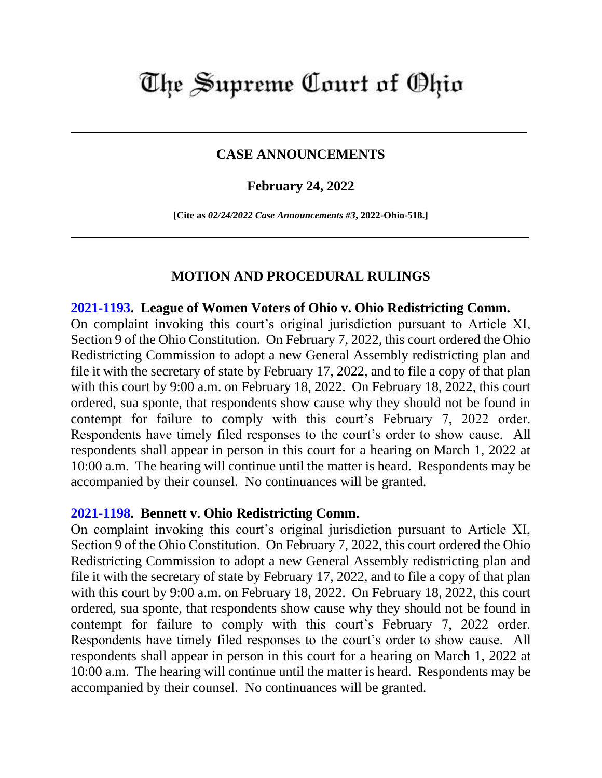# The Supreme Court of Ohio

## **CASE ANNOUNCEMENTS**

### **February 24, 2022**

**[Cite as** *02/24/2022 Case Announcements #3***, 2022-Ohio-518.]**

#### **MOTION AND PROCEDURAL RULINGS**

#### **[2021-1193.](https://www.supremecourt.ohio.gov/Clerk/ecms/#/caseinfo/2021/1193) League of Women Voters of Ohio v. Ohio Redistricting Comm.**

On complaint invoking this court's original jurisdiction pursuant to Article XI, Section 9 of the Ohio Constitution. On February 7, 2022, this court ordered the Ohio Redistricting Commission to adopt a new General Assembly redistricting plan and file it with the secretary of state by February 17, 2022, and to file a copy of that plan with this court by 9:00 a.m. on February 18, 2022. On February 18, 2022, this court ordered, sua sponte, that respondents show cause why they should not be found in contempt for failure to comply with this court's February 7, 2022 order. Respondents have timely filed responses to the court's order to show cause. All respondents shall appear in person in this court for a hearing on March 1, 2022 at 10:00 a.m. The hearing will continue until the matter is heard. Respondents may be accompanied by their counsel. No continuances will be granted.

#### **[2021-1198.](https://www.supremecourt.ohio.gov/Clerk/ecms/#/caseinfo/2021/1198) Bennett v. Ohio Redistricting Comm.**

On complaint invoking this court's original jurisdiction pursuant to Article XI, Section 9 of the Ohio Constitution. On February 7, 2022, this court ordered the Ohio Redistricting Commission to adopt a new General Assembly redistricting plan and file it with the secretary of state by February 17, 2022, and to file a copy of that plan with this court by 9:00 a.m. on February 18, 2022. On February 18, 2022, this court ordered, sua sponte, that respondents show cause why they should not be found in contempt for failure to comply with this court's February 7, 2022 order. Respondents have timely filed responses to the court's order to show cause. All respondents shall appear in person in this court for a hearing on March 1, 2022 at 10:00 a.m. The hearing will continue until the matter is heard. Respondents may be accompanied by their counsel. No continuances will be granted.